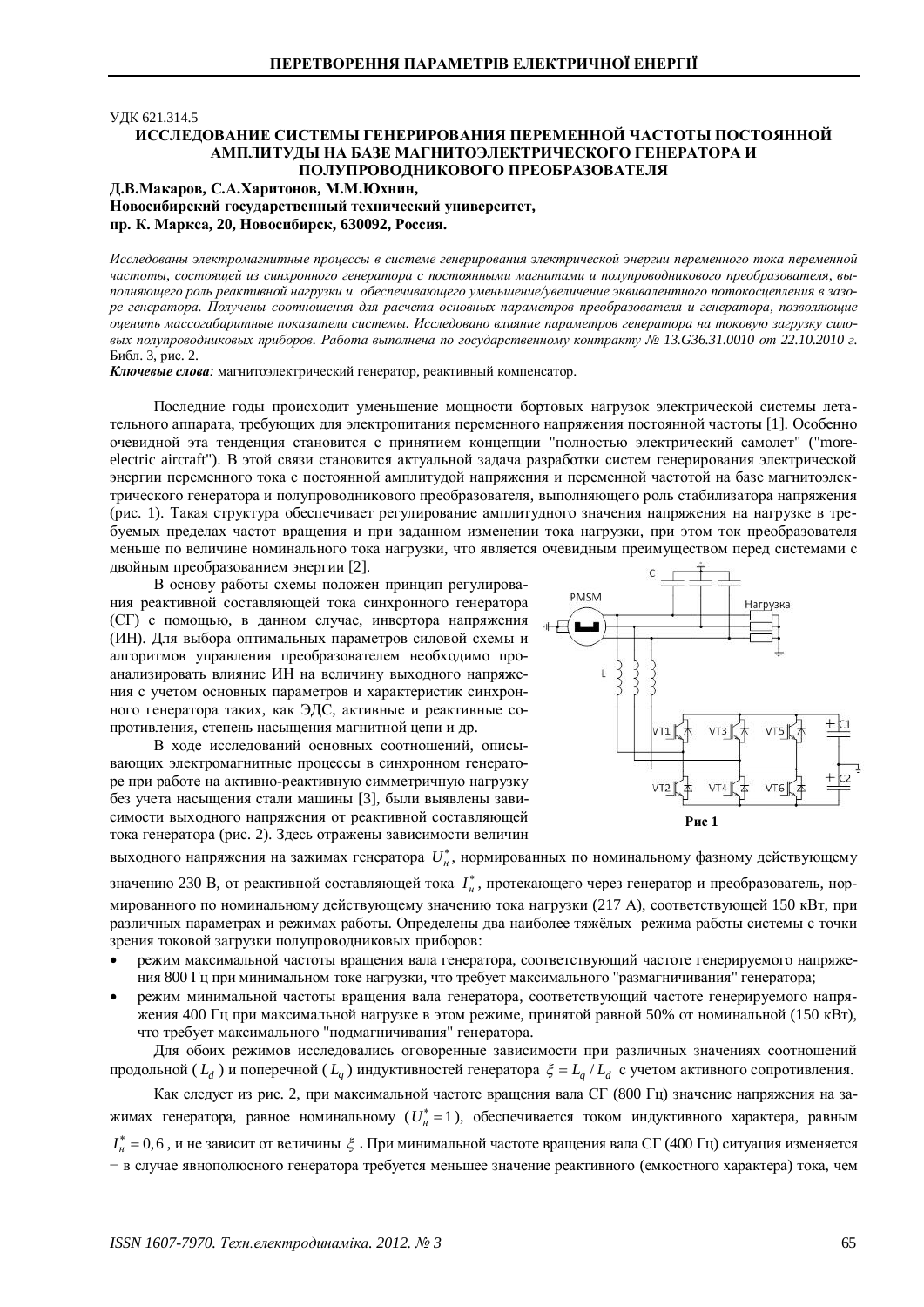### УДК 621.314.5

# ИССЛЕДОВАНИЕ СИСТЕМЫ ГЕНЕРИРОВАНИЯ ПЕРЕМЕННОЙ ЧАСТОТЫ ПОСТОЯННОЙ АМПЛИТУЛЫ НА БАЗЕ МАГНИТОЭЛЕКТРИЧЕСКОГО ГЕНЕРАТОРА И ПОЛУПРОВОДНИКОВОГО ПРЕОБРАЗОВАТЕЛЯ

# $\Lambda$ , В. Макаров, С.А. Харитонов, М.М. Юхнин, Новосибирский государственный технический университет, пр. К. Маркса, 20, Новосибирск, 630092, Россия.

Исследованы электромагнитные процессы в системе генерирования электрической энергии переменного тока переменной Частоты, состояшей из синхронного генератора с постоянными магнитами и полупроводникового преобразователя, выполняющего роль реактивной нагрузки и обеспечивающего уменьшение/увеличение эквивалентного потокосцепления в зазоре генератора. Получены соотношения для расчета основных параметров преобразователя и генератора, позволяющие **иценить массогабаритные показатели системы. Исследовано влияние параметров генератора на токовую загрузку сило-** $B$ ых полупроводниковых приборов. Работа выполнена по государственному контракту № 13.G36.31.0010 от 22.10.2010 г. Библ. 3, рис. 2.

**Ключевые слова**: магнитоэлектрический генератор, реактивный компенсатор.

Последние годы происходит уменьшение мощности бортовых нагрузок электрической системы летательного аппарата, требующих для электропитания переменного напряжения постоянной частоты [1]. Особенно очевидной эта тенденция становится с принятием концепции "полностью электрический самолет" ("moreelectric aircraft"). В этой связи становится актуальной задача разработки систем генерирования электрической энергии переменного тока с постоянной амплитудой напряжения и переменной частотой на базе магнитоэлектрического генератора и полупроводникового преобразователя, выполняющего роль стабилизатора напряжения (рис. 1). Такая структура обеспечивает регулирование амплитудного значения напряжения на нагрузке в требуемых пределах частот вращения и при заданном изменении тока нагрузки, при этом ток преобразователя меньше по величине номинального тока нагрузки, что является очевидным преимуществом перед системами с двойным преобразованием энергии [2].

В основу работы схемы положен принцип регулирования реактивной составляющей тока синхронного генератора (СГ) с помощью, в данном случае, инвертора напряжения (ИН). Для выбора оптимальных параметров силовой схемы и алгоритмов управления преобразователем необходимо проанализировать влияние ИН на величину выходного напряжения с учетом основных параметров и характеристик синхронного генератора таких, как ЭДС, активные и реактивные сопротивления, степень насышения магнитной цепи и др.

В ходе исследований основных соотношений, описывающих электромагнитные процессы в синхронном генераторе при работе на активно-реактивную симметричную нагрузку без учета насыщения стали машины [3], были выявлены зависимости выходного напряжения от реактивной составляющей тока генератора (рис. 2). Здесь отражены зависимости величин



выходного напряжения на зажимах генератора  $\,{U}^*_n,$  нормированных по номинальному фазному действующему

значению 230 В, от реактивной составляющей тока  $I^*_n$ , протекающего через генератор и преобразователь, нормированного по номинальному действующему значению тока нагрузки (217 А), соответствующей 150 кВт, при различных параметрах и режимах работы. Определены два наиболее тяжёлых режима работы системы с точки зрения токовой загрузки полупроводниковых приборов:

- режим максимальной частоты вращения вала генератора, соответствующий частоте генерируемого напряжения 800 Гц при минимальном токе нагрузки, что требует максимального "размагничивания" генератора;
- режим минимальной частоты вращения вала генератора, соответствующий частоте генерируемого напряжения 400 Гц при максимальной нагрузке в этом режиме, принятой равной 50% от номинальной (150 кВт), что требует максимального "подмагничивания" генератора.

Для обоих режимов исследовались оговоренные зависимости при различных значениях соотношений продольной (  $L_d$  ) и поперечной (  $L_q$  ) индуктивностей генератора  $\,\xi=L_q\,/\,L_d\,$  с учетом активного сопротивления.

Как следует из рис. 2, при максимальной частоте вращения вала СГ (800 Гц) значение напряжения на зажимах генератора, равное номинальному  $(U_{\scriptscriptstyle H}^*\!=\!1)$ , обеспечивается током индуктивного характера, равным  $I^*_n = 0,6$  , и не зависит от величины  $\,\xi$  . При минимальной частоте вращения вала СГ (400 Гц) ситуация изменяется - в случае явнополюсного генератора требуется меньшее значение реактивного (емкостного характера) тока, чем